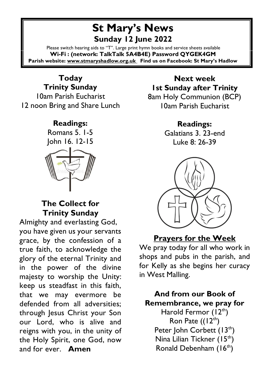# **St Mary's News Sunday 12 June 2022**

Please switch hearing aids to "T". Large print hymn books and service sheets available **Wi-Fi : (network: TalkTalk 5A4B4E) Password QYGEK4GM Parish website: [www.stmaryshadlow.org.uk](http://www.stmaryshadlow.org.uk/) Find us on Facebook: St Mary's Hadlow**

#### **Today Trinity Sunday** 10am Parish Eucharist 12 noon Bring and Share Lunch

#### **Readings:**

Romans 5. 1-5 John 16. 12-15



### **The Collect for Trinity Sunday**

Almighty and everlasting God, you have given us your servants grace, by the confession of a true faith, to acknowledge the glory of the eternal Trinity and in the power of the divine majesty to worship the Unity: keep us steadfast in this faith, that we may evermore be defended from all adversities; through Jesus Christ your Son our Lord, who is alive and reigns with you, in the unity of the Holy Spirit, one God, now and for ever. **Amen**

## **Next week 1st Sunday after Trinity**  8am Holy Communion (BCP)

10am Parish Eucharist

## **Readings:**

Galatians 3. 23-end Luke 8: 26-39



## **Prayers for the Week**

We pray today for all who work in shops and pubs in the parish, and for Kelly as she begins her curacy in West Malling.

**And from our Book of Remembrance, we pray for** Harold Fermor  $(12<sup>th</sup>)$ Ron Pate  $((12<sup>th</sup>)$ Peter John Corbett  $(13<sup>th</sup>)$ Nina Lilian Tickner  $(15<sup>th</sup>)$ 

Ronald Debenham  $(16<sup>th</sup>)$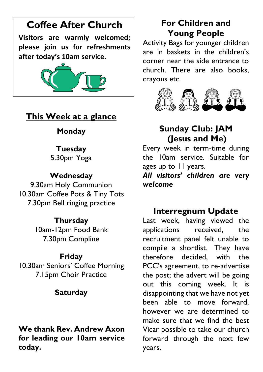# **Coffee After Church**

**Visitors are warmly welcomed; please join us for refreshments after today's 10am service.**



## **This Week at a glance**

### **Monday**

### **Tuesday**

5.30pm Yoga

### **Wednesday**

9.30am Holy Communion 10.30am Coffee Pots & Tiny Tots 7.30pm Bell ringing practice

### **Thursday**

10am-12pm Food Bank 7.30pm Compline

### **Friday**

10.30am Seniors' Coffee Morning 7.15pm Choir Practice

## **Saturday**

### **We thank Rev. Andrew Axon for leading our 10am service today.**

# **For Children and Young People**

Activity Bags for younger children are in baskets in the children's corner near the side entrance to church. There are also books, crayons etc.



# **Sunday Club: JAM (Jesus and Me)**

Every week in term-time during the 10am service. Suitable for ages up to 11 years.

*All visitors' children are very welcome*

# **Interregnum Update**

Last week, having viewed the applications received, the recruitment panel felt unable to compile a shortlist. They have therefore decided, with the PCC's agreement, to re-advertise the post; the advert will be going out this coming week. It is disappointing that we have not yet been able to move forward, however we are determined to make sure that we find the best Vicar possible to take our church forward through the next few years.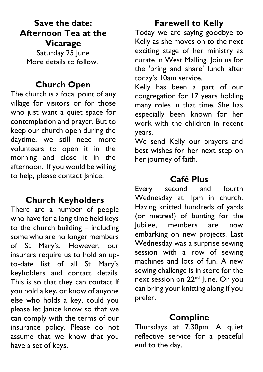# **Save the date: Afternoon Tea at the**

**Vicarage** Saturday 25 June More details to follow.

## **Church Open**

The church is a focal point of any village for visitors or for those who just want a quiet space for contemplation and prayer. But to keep our church open during the daytime, we still need more volunteers to open it in the morning and close it in the afternoon. If you would be willing to help, please contact Janice.

## **Church Keyholders**

There are a number of people who have for a long time held keys to the church building – including some who are no longer members of St Mary's. However, our insurers require us to hold an upto-date list of all St Mary's keyholders and contact details. This is so that they can contact If you hold a key, or know of anyone else who holds a key, could you please let Janice know so that we can comply with the terms of our insurance policy. Please do not assume that we know that you have a set of keys.

## **Farewell to Kelly**

Today we are saying goodbye to Kelly as she moves on to the next exciting stage of her ministry as curate in West Malling. Join us for the 'bring and share' lunch after today's 10am service.

Kelly has been a part of our congregation for 17 years holding many roles in that time. She has especially been known for her work with the children in recent years.

We send Kelly our prayers and best wishes for her next step on her journey of faith.

# **Café Plus**

Every second and fourth Wednesday at 1pm in church. Having knitted hundreds of yards (or metres!) of bunting for the Jubilee, members are now embarking on new projects. Last Wednesday was a surprise sewing session with a row of sewing machines and lots of fun. A new sewing challenge is in store for the next session on 22<sup>nd</sup> June. Or you can bring your knitting along if you prefer.

# **Compline**

Thursdays at 7.30pm. A quiet reflective service for a peaceful end to the day.